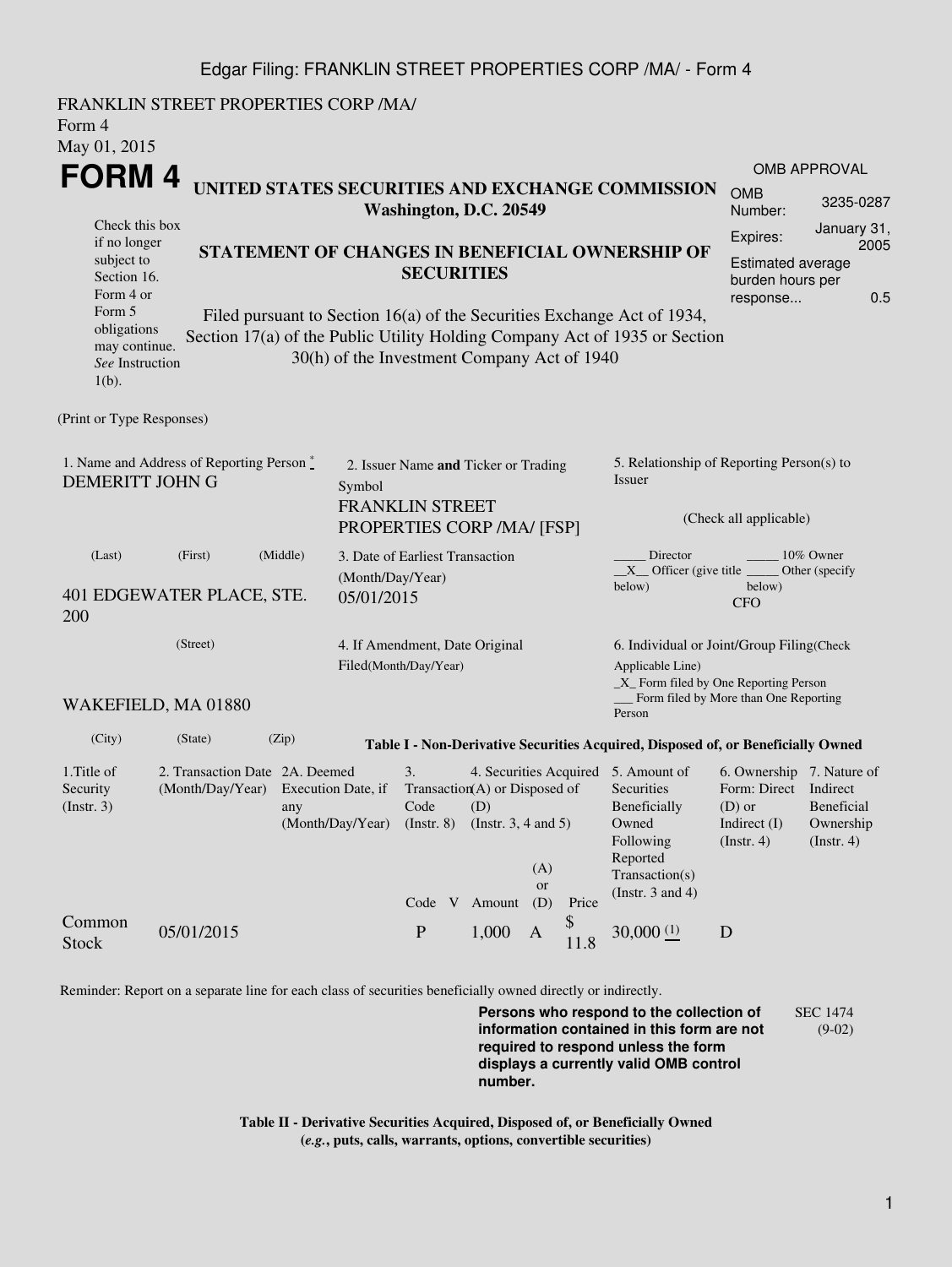#### Edgar Filing: FRANKLIN STREET PROPERTIES CORP /MA/ - Form 4

FRANKLIN STREET PROPERTIES CORP /MA/ Form 4 May 01, 2015 **FORM 4** Check this box if no longer subject to Section 16. Form 4 or Form 5 obligations may continue. *See* Instruction  $1(h)$ . **UNITED STATES SECURITIES AND EXCHANGE COMMISSION Washington, D.C. 20549 STATEMENT OF CHANGES IN BENEFICIAL OWNERSHIP OF SECURITIES** Filed pursuant to Section 16(a) of the Securities Exchange Act of 1934, Section 17(a) of the Public Utility Holding Company Act of 1935 or Section 30(h) of the Investment Company Act of 1940 OMB APPROVAL OMB Number: 3235-0287 Expires: January 31, 2005 Estimated average burden hours per response... 0.5 (Print or Type Responses) 1. Name and Address of Reporting Person  $\degree$ DEMERITT JOHN G 2. Issuer Name **and** Ticker or Trading Symbol FRANKLIN STREET PROPERTIES CORP /MA/ [FSP] 5. Relationship of Reporting Person(s) to Issuer (Check all applicable) Director \_\_\_\_\_\_\_\_ 10% Owner  $X$ <sup>Officer</sup> (give title below) Other (specify below) CFO (Last) (First) (Middle) 401 EDGEWATER PLACE, STE. 200 3. Date of Earliest Transaction (Month/Day/Year) 05/01/2015 (Street) WAKEFIELD, MA 01880 4. If Amendment, Date Original Filed(Month/Day/Year) 6. Individual or Joint/Group Filing(Check Applicable Line) \_X\_ Form filed by One Reporting Person Form filed by More than One Reporting Person (City) (State) (Zip) **Table I - Non-Derivative Securities Acquired, Disposed of, or Beneficially Owned** 1.Title of Security (Instr. 3) 2. Transaction Date 2A. Deemed (Month/Day/Year) Execution Date, if any (Month/Day/Year) 3. Transaction (A) or Disposed of Code (Instr. 8) 4. Securities Acquired 5. Amount of  $(D)$ (Instr. 3, 4 and 5) **Securities** Beneficially Owned Following Reported Transaction(s) (Instr. 3 and 4) 6. Ownership 7. Nature of Form: Direct Indirect (D) or Indirect (I) (Instr. 4) Beneficial Ownership (Instr. 4) Code V Amount (A) or (D) Price Common Stock 05/01/2015 P 1,000 A \$  $11.8$  30,000  $\frac{(1)}{2}$  D

Reminder: Report on a separate line for each class of securities beneficially owned directly or indirectly.

**Persons who respond to the collection of information contained in this form are not required to respond unless the form displays a currently valid OMB control number.** SEC 1474 (9-02)

**Table II - Derivative Securities Acquired, Disposed of, or Beneficially Owned (***e.g.***, puts, calls, warrants, options, convertible securities)**